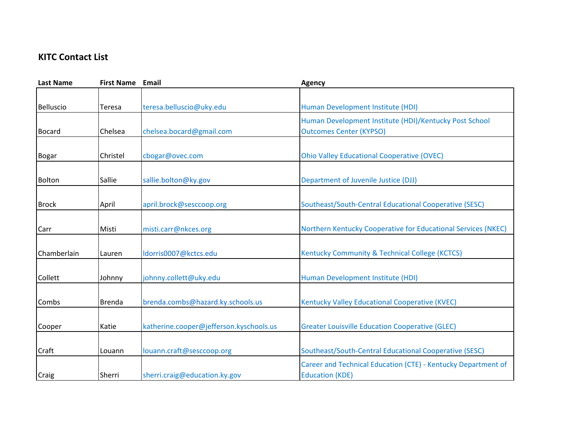## **KITC Contact List**

| <b>Last Name</b> | <b>First Name Email</b> |                                         | <b>Agency</b>                                                 |
|------------------|-------------------------|-----------------------------------------|---------------------------------------------------------------|
|                  |                         |                                         |                                                               |
| <b>Belluscio</b> | Teresa                  | teresa.belluscio@uky.edu                | Human Development Institute (HDI)                             |
|                  |                         |                                         | Human Development Institute (HDI)/Kentucky Post School        |
| <b>Bocard</b>    | Chelsea                 | chelsea.bocard@gmail.com                | <b>Outcomes Center (KYPSO)</b>                                |
|                  |                         |                                         |                                                               |
| <b>Bogar</b>     | Christel                | cbogar@ovec.com                         | <b>Ohio Valley Educational Cooperative (OVEC)</b>             |
|                  |                         |                                         |                                                               |
| <b>Bolton</b>    | Sallie                  | sallie.bolton@ky.gov                    | Department of Juvenile Justice (DJJ)                          |
|                  |                         |                                         |                                                               |
| <b>Brock</b>     | April                   | april.brock@sesccoop.org                | Southeast/South-Central Educational Cooperative (SESC)        |
|                  |                         |                                         |                                                               |
| Carr             | Misti                   | misti.carr@nkces.org                    | Northern Kentucky Cooperative for Educational Services (NKEC) |
|                  |                         |                                         |                                                               |
| Chamberlain      | Lauren                  | ldorris0007@kctcs.edu                   | Kentucky Community & Technical College (KCTCS)                |
|                  |                         |                                         |                                                               |
| Collett          | Johnny                  | johnny.collett@uky.edu                  | Human Development Institute (HDI)                             |
|                  |                         |                                         |                                                               |
| Combs            | <b>Brenda</b>           | brenda.combs@hazard.ky.schools.us       | Kentucky Valley Educational Cooperative (KVEC)                |
|                  |                         |                                         |                                                               |
| Cooper           | Katie                   | katherine.cooper@jefferson.kyschools.us | <b>Greater Louisville Education Cooperative (GLEC)</b>        |
|                  |                         |                                         |                                                               |
| Craft            | Louann                  | louann.craft@sesccoop.org               | Southeast/South-Central Educational Cooperative (SESC)        |
|                  |                         |                                         | Career and Technical Education (CTE) - Kentucky Department of |
| Craig            | <b>Sherri</b>           | sherri.craig@education.ky.gov           | <b>Education (KDE)</b>                                        |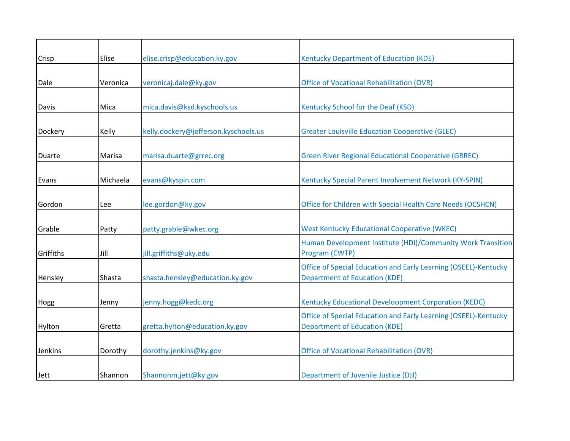| Crisp     | Elise    | elise.crisp@education.ky.gov         | Kentucky Department of Education (KDE)                                                                  |
|-----------|----------|--------------------------------------|---------------------------------------------------------------------------------------------------------|
| Dale      | Veronica | veronicaj.dale@ky.gov                | <b>Office of Vocational Rehabilitation (OVR)</b>                                                        |
| Davis     | Mica     | mica.davis@ksd.kyschools.us          | Kentucky School for the Deaf (KSD)                                                                      |
| Dockery   | Kelly    | kelly.dockery@jefferson.kyschools.us | <b>Greater Louisville Education Cooperative (GLEC)</b>                                                  |
| Duarte    | Marisa   | marisa.duarte@grrec.org              | <b>Green River Regional Educational Cooperative (GRREC)</b>                                             |
| Evans     | Michaela | evans@kyspin.com                     | Kentucky Special Parent Involvement Network (KY-SPIN)                                                   |
| Gordon    | Lee      | lee.gordon@ky.gov                    | Office for Children with Special Health Care Needs (OCSHCN)                                             |
| Grable    | Patty    | patty.grable@wkec.org                | <b>West Kentucky Educational Cooperative (WKEC)</b>                                                     |
| Griffiths | Jill     | jill.griffiths@uky.edu               | Human Development Institute (HDI)/Community Work Transition<br>Program (CWTP)                           |
| Hensley   | Shasta   | shasta.hensley@education.ky.gov      | Office of Special Education and Early Learning (OSEEL)-Kentucky<br><b>Department of Education (KDE)</b> |
| Hogg      | Jenny    | jenny.hogg@kedc.org                  | Kentucky Educational Develoopment Corporation (KEDC)                                                    |
| Hylton    | Gretta   | gretta.hylton@education.ky.gov       | Office of Special Education and Early Learning (OSEEL)-Kentucky<br><b>Department of Education (KDE)</b> |
| Jenkins   | Dorothy  | dorothy.jenkins@ky.gov               | <b>Office of Vocational Rehabilitation (OVR)</b>                                                        |
| Jett      | Shannon  | Shannonm.jett@ky.gov                 | Department of Juvenile Justice (DJJ)                                                                    |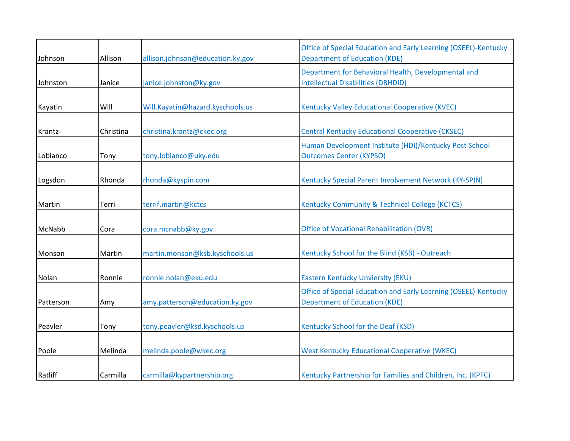| Johnson   | Allison   | allison.johnson@education.ky.gov | Office of Special Education and Early Learning (OSEEL)-Kentucky<br><b>Department of Education (KDE)</b> |
|-----------|-----------|----------------------------------|---------------------------------------------------------------------------------------------------------|
| Johnston  | Janice    | janice.johnston@ky.gov           | Department for Behavioral Health, Developmental and<br><b>Intellectual Disabilities (DBHDID)</b>        |
| Kayatin   | Will      | Will.Kayatin@hazard.kyschools.us | Kentucky Valley Educational Cooperative (KVEC)                                                          |
| Krantz    | Christina | christina.krantz@ckec.org        | <b>Central Kentucky Educational Cooperative (CKSEC)</b>                                                 |
| Lobianco  | Tony      | tony.lobianco@uky.edu            | Human Development Institute (HDI)/Kentucky Post School<br><b>Outcomes Center (KYPSO)</b>                |
| Logsdon   | Rhonda    | rhonda@kyspin.com                | Kentucky Special Parent Involvement Network (KY-SPIN)                                                   |
| Martin    | Terri     | terrif.martin@kctcs              | Kentucky Community & Technical College (KCTCS)                                                          |
| McNabb    | Cora      | cora.mcnabb@ky.gov               | <b>Office of Vocational Rehabilitation (OVR)</b>                                                        |
| Monson    | Martin    | martin.monson@ksb.kyschools.us   | Kentucky School for the Blind (KSB) - Outreach                                                          |
| Nolan     | Ronnie    | ronnie.nolan@eku.edu             | Eastern Kentucky Unviersity (EKU)                                                                       |
| Patterson | Amy       | amy.patterson@education.ky.gov   | Office of Special Education and Early Learning (OSEEL)-Kentucky<br><b>Department of Education (KDE)</b> |
| Peavler   | Tony      | tony.peavler@ksd.kyschools.us    | Kentucky School for the Deaf (KSD)                                                                      |
| Poole     | Melinda   | melinda.poole@wkec.org           | <b>West Kentucky Educational Cooperative (WKEC)</b>                                                     |
| Ratliff   | Carmilla  | carmilla@kypartnership.org       | Kentucky Partnership for Families and Children, Inc. (KPFC)                                             |